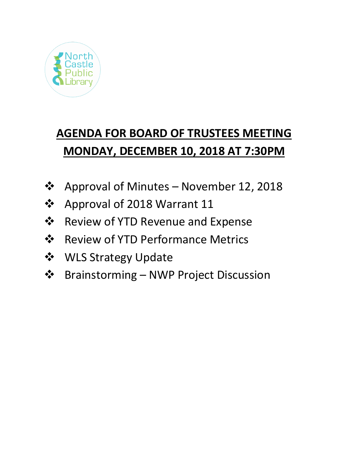

# **AGENDA FOR BOARD OF TRUSTEES MEETING MONDAY, DECEMBER 10, 2018 AT 7:30PM**

- Approval of Minutes November 12, 2018
- Approval of 2018 Warrant 11
- Review of YTD Revenue and Expense
- ❖ Review of YTD Performance Metrics
- **❖** WLS Strategy Update
- Brainstorming NWP Project Discussion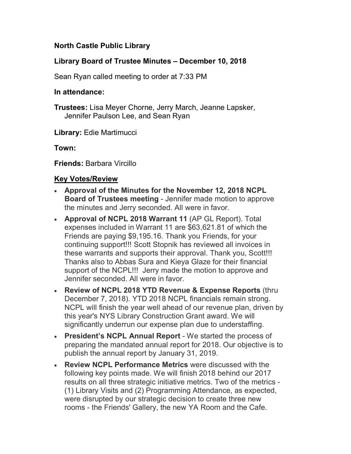## **North Castle Public Library**

### **Library Board of Trustee Minutes – December 10, 2018**

Sean Ryan called meeting to order at 7:33 PM

#### **In attendance:**

**Trustees:** Lisa Meyer Chorne, Jerry March, Jeanne Lapsker, Jennifer Paulson Lee, and Sean Ryan

**Library:** Edie Martimucci

**Town:** 

**Friends:** Barbara Vircillo

#### **Key Votes/Review**

- **Approval of the Minutes for the November 12, 2018 NCPL Board of Trustees meeting** - Jennifer made motion to approve the minutes and Jerry seconded. All were in favor.
- **Approval of NCPL 2018 Warrant 11** (AP GL Report). Total expenses included in Warrant 11 are \$63,621.81 of which the Friends are paying \$9,195.16. Thank you Friends, for your continuing support!!! Scott Stopnik has reviewed all invoices in these warrants and supports their approval. Thank you, Scott!!! Thanks also to Abbas Sura and Kieya Glaze for their financial support of the NCPL!!! Jerry made the motion to approve and Jennifer seconded. All were in favor.
- **Review of NCPL 2018 YTD Revenue & Expense Reports** (thru December 7, 2018). YTD 2018 NCPL financials remain strong. NCPL will finish the year well ahead of our revenue plan, driven by this year's NYS Library Construction Grant award. We will significantly underrun our expense plan due to understaffing.
- **President's NCPL Annual Report** We started the process of preparing the mandated annual report for 2018. Our objective is to publish the annual report by January 31, 2019.
- **Review NCPL Performance Metrics** were discussed with the following key points made. We will finish 2018 behind our 2017 results on all three strategic initiative metrics. Two of the metrics - (1) Library Visits and (2) Programming Attendance, as expected, were disrupted by our strategic decision to create three new rooms - the Friends' Gallery, the new YA Room and the Cafe.